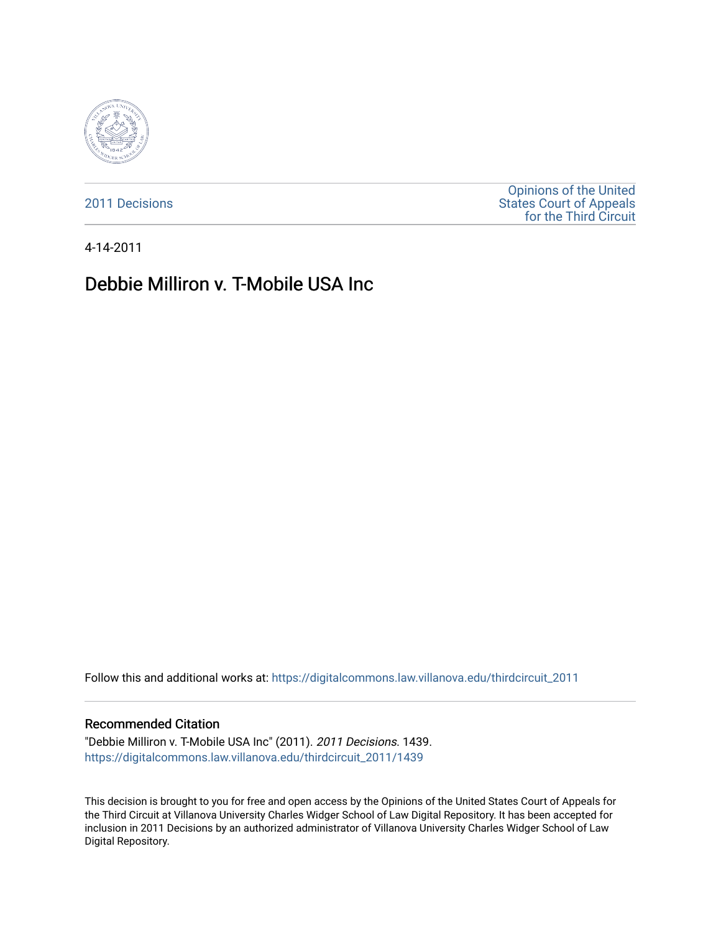

[2011 Decisions](https://digitalcommons.law.villanova.edu/thirdcircuit_2011)

[Opinions of the United](https://digitalcommons.law.villanova.edu/thirdcircuit)  [States Court of Appeals](https://digitalcommons.law.villanova.edu/thirdcircuit)  [for the Third Circuit](https://digitalcommons.law.villanova.edu/thirdcircuit) 

4-14-2011

# Debbie Milliron v. T-Mobile USA Inc

Follow this and additional works at: [https://digitalcommons.law.villanova.edu/thirdcircuit\\_2011](https://digitalcommons.law.villanova.edu/thirdcircuit_2011?utm_source=digitalcommons.law.villanova.edu%2Fthirdcircuit_2011%2F1439&utm_medium=PDF&utm_campaign=PDFCoverPages) 

#### Recommended Citation

"Debbie Milliron v. T-Mobile USA Inc" (2011). 2011 Decisions. 1439. [https://digitalcommons.law.villanova.edu/thirdcircuit\\_2011/1439](https://digitalcommons.law.villanova.edu/thirdcircuit_2011/1439?utm_source=digitalcommons.law.villanova.edu%2Fthirdcircuit_2011%2F1439&utm_medium=PDF&utm_campaign=PDFCoverPages) 

This decision is brought to you for free and open access by the Opinions of the United States Court of Appeals for the Third Circuit at Villanova University Charles Widger School of Law Digital Repository. It has been accepted for inclusion in 2011 Decisions by an authorized administrator of Villanova University Charles Widger School of Law Digital Repository.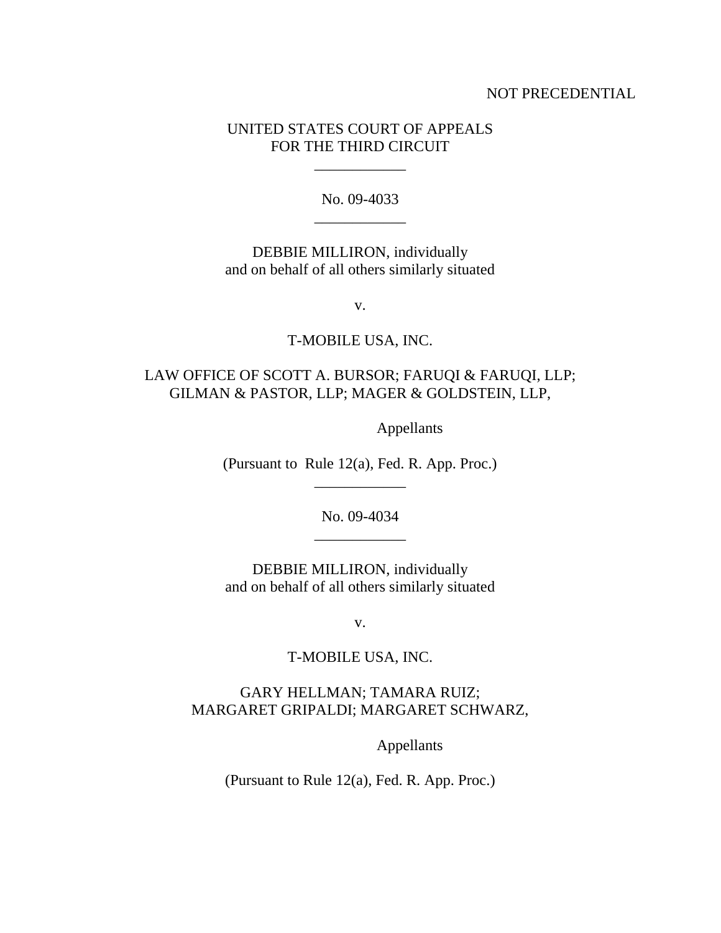#### NOT PRECEDENTIAL

## UNITED STATES COURT OF APPEALS FOR THE THIRD CIRCUIT

\_\_\_\_\_\_\_\_\_\_\_\_

No. 09-4033 \_\_\_\_\_\_\_\_\_\_\_\_

DEBBIE MILLIRON, individually and on behalf of all others similarly situated

v.

#### T-MOBILE USA, INC.

# LAW OFFICE OF SCOTT A. BURSOR; FARUQI & FARUQI, LLP; GILMAN & PASTOR, LLP; MAGER & GOLDSTEIN, LLP,

Appellants

(Pursuant to Rule 12(a), Fed. R. App. Proc.) \_\_\_\_\_\_\_\_\_\_\_\_

> No. 09-4034 \_\_\_\_\_\_\_\_\_\_\_\_

DEBBIE MILLIRON, individually and on behalf of all others similarly situated

v.

## T-MOBILE USA, INC.

# GARY HELLMAN; TAMARA RUIZ; MARGARET GRIPALDI; MARGARET SCHWARZ,

Appellants

(Pursuant to Rule 12(a), Fed. R. App. Proc.)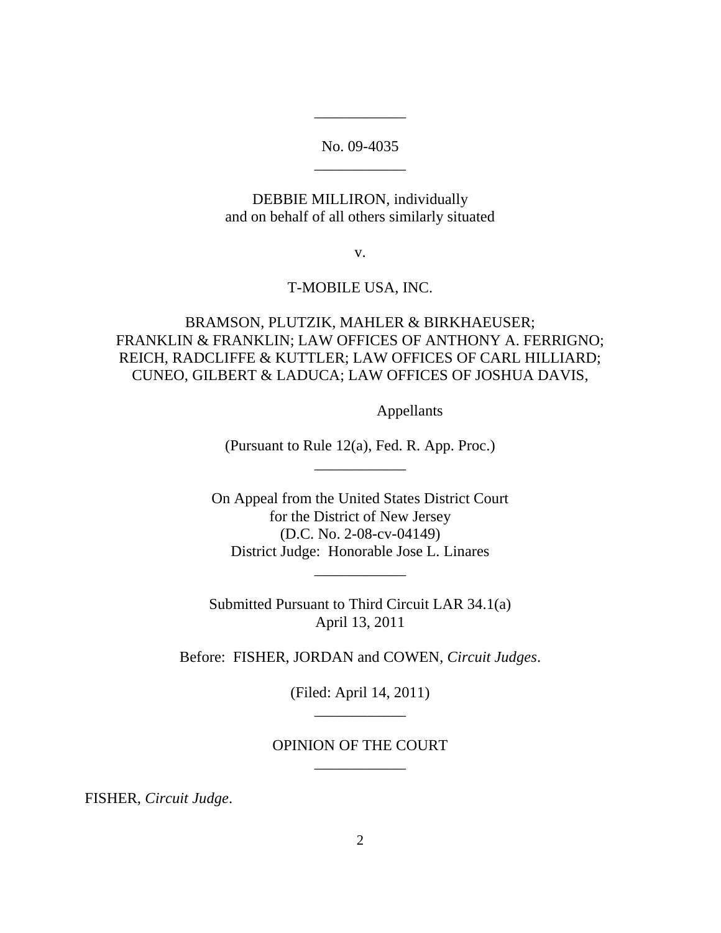#### No. 09-4035 \_\_\_\_\_\_\_\_\_\_\_\_

\_\_\_\_\_\_\_\_\_\_\_\_

## DEBBIE MILLIRON, individually and on behalf of all others similarly situated

v.

## T-MOBILE USA, INC.

# BRAMSON, PLUTZIK, MAHLER & BIRKHAEUSER; FRANKLIN & FRANKLIN; LAW OFFICES OF ANTHONY A. FERRIGNO; REICH, RADCLIFFE & KUTTLER; LAW OFFICES OF CARL HILLIARD; CUNEO, GILBERT & LADUCA; LAW OFFICES OF JOSHUA DAVIS,

Appellants

(Pursuant to Rule 12(a), Fed. R. App. Proc.) \_\_\_\_\_\_\_\_\_\_\_\_

On Appeal from the United States District Court for the District of New Jersey (D.C. No. 2-08-cv-04149) District Judge: Honorable Jose L. Linares

\_\_\_\_\_\_\_\_\_\_\_\_

Submitted Pursuant to Third Circuit LAR 34.1(a) April 13, 2011

Before: FISHER, JORDAN and COWEN, *Circuit Judges*.

(Filed: April 14, 2011) \_\_\_\_\_\_\_\_\_\_\_\_

# OPINION OF THE COURT \_\_\_\_\_\_\_\_\_\_\_\_

FISHER, *Circuit Judge*.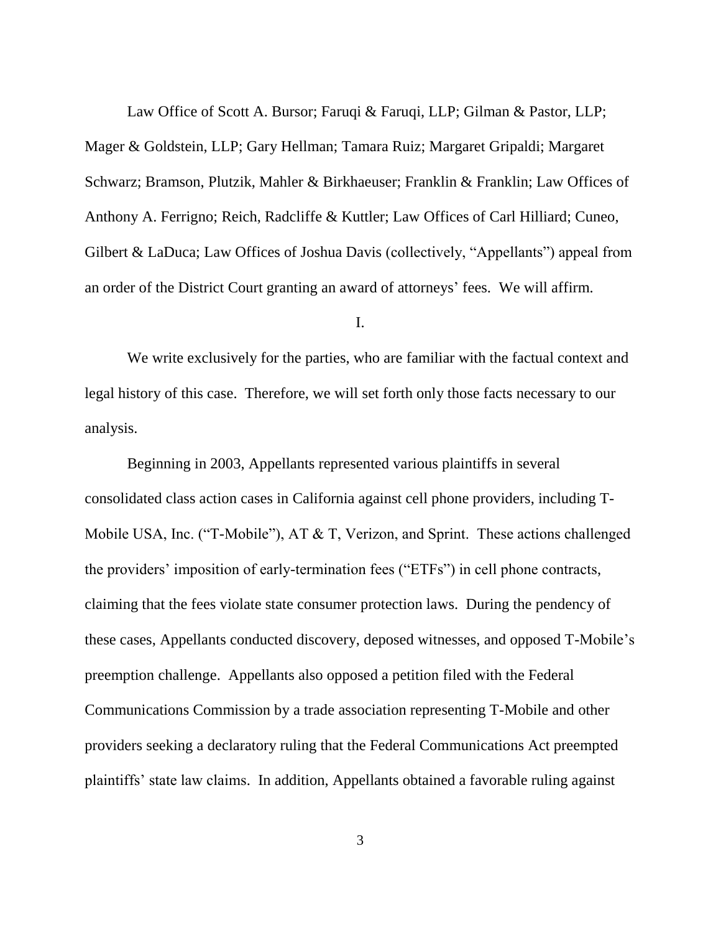Law Office of Scott A. Bursor; Faruqi & Faruqi, LLP; Gilman & Pastor, LLP; Mager & Goldstein, LLP; Gary Hellman; Tamara Ruiz; Margaret Gripaldi; Margaret Schwarz; Bramson, Plutzik, Mahler & Birkhaeuser; Franklin & Franklin; Law Offices of Anthony A. Ferrigno; Reich, Radcliffe & Kuttler; Law Offices of Carl Hilliard; Cuneo, Gilbert & LaDuca; Law Offices of Joshua Davis (collectively, "Appellants") appeal from an order of the District Court granting an award of attorneys' fees. We will affirm.

I.

We write exclusively for the parties, who are familiar with the factual context and legal history of this case. Therefore, we will set forth only those facts necessary to our analysis.

Beginning in 2003, Appellants represented various plaintiffs in several consolidated class action cases in California against cell phone providers, including T-Mobile USA, Inc. ("T-Mobile"), AT & T, Verizon, and Sprint. These actions challenged the providers' imposition of early-termination fees ("ETFs") in cell phone contracts, claiming that the fees violate state consumer protection laws. During the pendency of these cases, Appellants conducted discovery, deposed witnesses, and opposed T-Mobile's preemption challenge. Appellants also opposed a petition filed with the Federal Communications Commission by a trade association representing T-Mobile and other providers seeking a declaratory ruling that the Federal Communications Act preempted plaintiffs' state law claims. In addition, Appellants obtained a favorable ruling against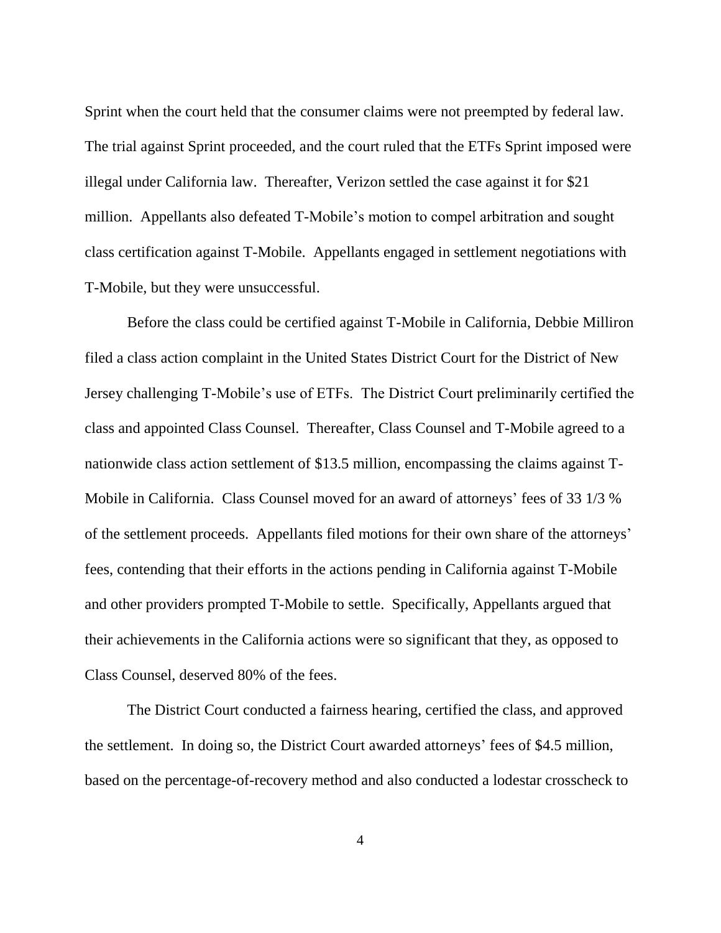Sprint when the court held that the consumer claims were not preempted by federal law. The trial against Sprint proceeded, and the court ruled that the ETFs Sprint imposed were illegal under California law. Thereafter, Verizon settled the case against it for \$21 million. Appellants also defeated T-Mobile's motion to compel arbitration and sought class certification against T-Mobile. Appellants engaged in settlement negotiations with T-Mobile, but they were unsuccessful.

Before the class could be certified against T-Mobile in California, Debbie Milliron filed a class action complaint in the United States District Court for the District of New Jersey challenging T-Mobile's use of ETFs. The District Court preliminarily certified the class and appointed Class Counsel. Thereafter, Class Counsel and T-Mobile agreed to a nationwide class action settlement of \$13.5 million, encompassing the claims against T-Mobile in California. Class Counsel moved for an award of attorneys' fees of 33 1/3 % of the settlement proceeds. Appellants filed motions for their own share of the attorneys' fees, contending that their efforts in the actions pending in California against T-Mobile and other providers prompted T-Mobile to settle. Specifically, Appellants argued that their achievements in the California actions were so significant that they, as opposed to Class Counsel, deserved 80% of the fees.

The District Court conducted a fairness hearing, certified the class, and approved the settlement. In doing so, the District Court awarded attorneys' fees of \$4.5 million, based on the percentage-of-recovery method and also conducted a lodestar crosscheck to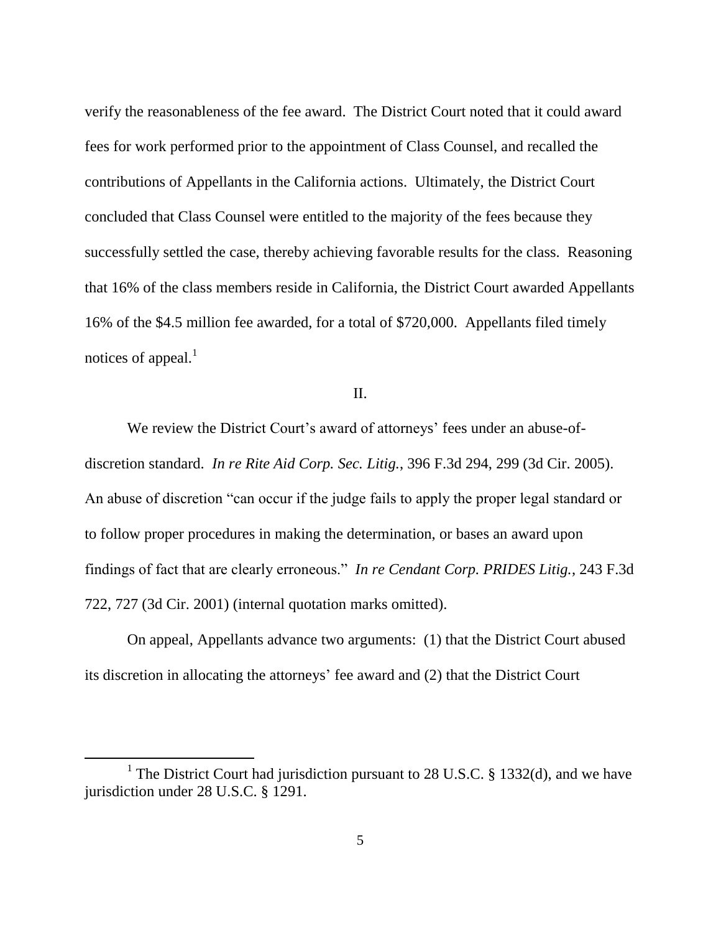verify the reasonableness of the fee award. The District Court noted that it could award fees for work performed prior to the appointment of Class Counsel, and recalled the contributions of Appellants in the California actions. Ultimately, the District Court concluded that Class Counsel were entitled to the majority of the fees because they successfully settled the case, thereby achieving favorable results for the class. Reasoning that 16% of the class members reside in California, the District Court awarded Appellants 16% of the \$4.5 million fee awarded, for a total of \$720,000. Appellants filed timely notices of appeal. $<sup>1</sup>$ </sup>

#### II.

We review the District Court's award of attorneys' fees under an abuse-ofdiscretion standard. *In re Rite Aid Corp. Sec. Litig.*, 396 F.3d 294, 299 (3d Cir. 2005). An abuse of discretion "can occur if the judge fails to apply the proper legal standard or to follow proper procedures in making the determination, or bases an award upon findings of fact that are clearly erroneous." *In re Cendant Corp. PRIDES Litig.*, 243 F.3d 722, 727 (3d Cir. 2001) (internal quotation marks omitted).

On appeal, Appellants advance two arguments: (1) that the District Court abused its discretion in allocating the attorneys' fee award and (2) that the District Court

 $\overline{a}$ 

<sup>&</sup>lt;sup>1</sup> The District Court had jurisdiction pursuant to 28 U.S.C. § 1332(d), and we have jurisdiction under 28 U.S.C. § 1291.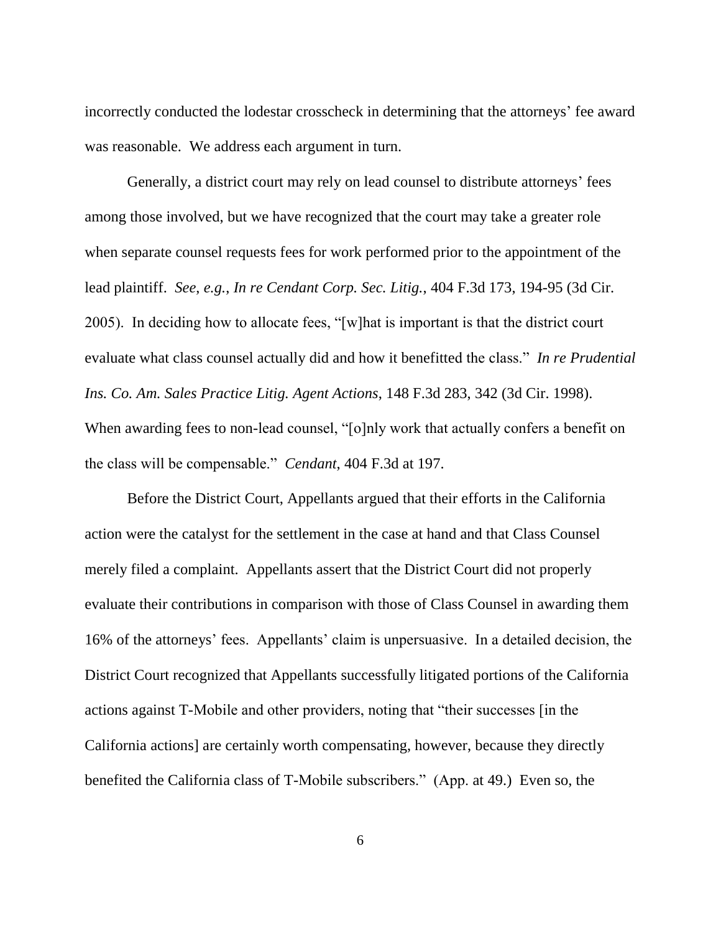incorrectly conducted the lodestar crosscheck in determining that the attorneys' fee award was reasonable. We address each argument in turn.

Generally, a district court may rely on lead counsel to distribute attorneys' fees among those involved, but we have recognized that the court may take a greater role when separate counsel requests fees for work performed prior to the appointment of the lead plaintiff. *See*, *e.g.*, *In re Cendant Corp. Sec. Litig.*, 404 F.3d 173, 194-95 (3d Cir. 2005). In deciding how to allocate fees, "[w]hat is important is that the district court evaluate what class counsel actually did and how it benefitted the class." *In re Prudential Ins. Co. Am. Sales Practice Litig. Agent Actions*, 148 F.3d 283, 342 (3d Cir. 1998). When awarding fees to non-lead counsel, "[o]nly work that actually confers a benefit on the class will be compensable." *Cendant*, 404 F.3d at 197.

Before the District Court, Appellants argued that their efforts in the California action were the catalyst for the settlement in the case at hand and that Class Counsel merely filed a complaint. Appellants assert that the District Court did not properly evaluate their contributions in comparison with those of Class Counsel in awarding them 16% of the attorneys' fees. Appellants' claim is unpersuasive. In a detailed decision, the District Court recognized that Appellants successfully litigated portions of the California actions against T-Mobile and other providers, noting that "their successes [in the California actions] are certainly worth compensating, however, because they directly benefited the California class of T-Mobile subscribers." (App. at 49.) Even so, the

6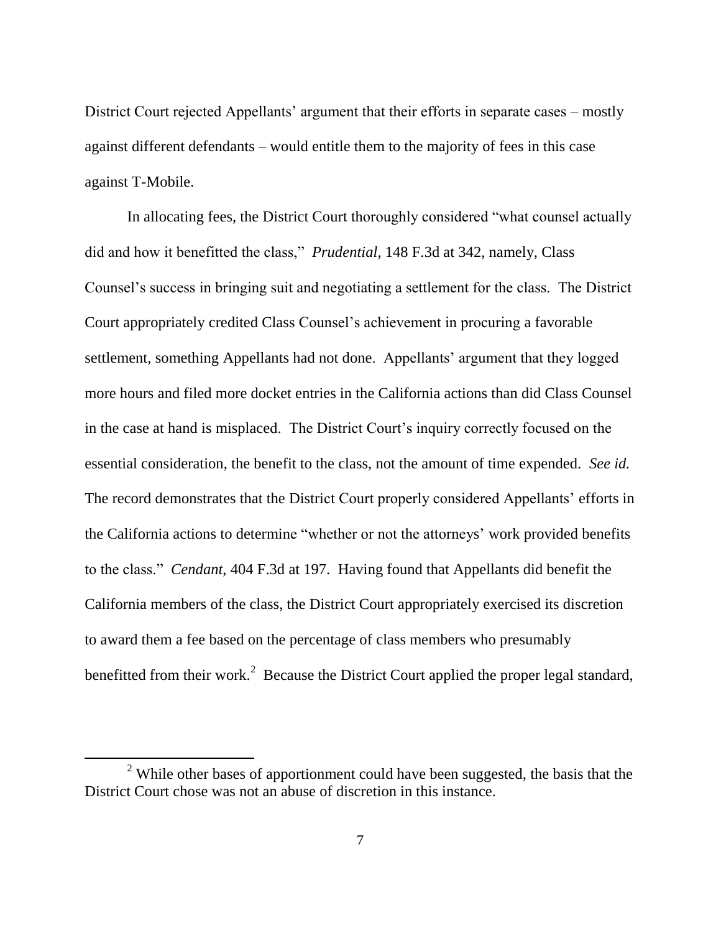District Court rejected Appellants' argument that their efforts in separate cases – mostly against different defendants – would entitle them to the majority of fees in this case against T-Mobile.

In allocating fees, the District Court thoroughly considered "what counsel actually did and how it benefitted the class," *Prudential*, 148 F.3d at 342, namely, Class Counsel's success in bringing suit and negotiating a settlement for the class. The District Court appropriately credited Class Counsel's achievement in procuring a favorable settlement, something Appellants had not done. Appellants' argument that they logged more hours and filed more docket entries in the California actions than did Class Counsel in the case at hand is misplaced. The District Court's inquiry correctly focused on the essential consideration, the benefit to the class, not the amount of time expended. *See id.*  The record demonstrates that the District Court properly considered Appellants' efforts in the California actions to determine "whether or not the attorneys' work provided benefits to the class." *Cendant*, 404 F.3d at 197. Having found that Appellants did benefit the California members of the class, the District Court appropriately exercised its discretion to award them a fee based on the percentage of class members who presumably benefitted from their work.<sup>2</sup> Because the District Court applied the proper legal standard,

 $\overline{a}$ 

<sup>&</sup>lt;sup>2</sup> While other bases of apportionment could have been suggested, the basis that the District Court chose was not an abuse of discretion in this instance.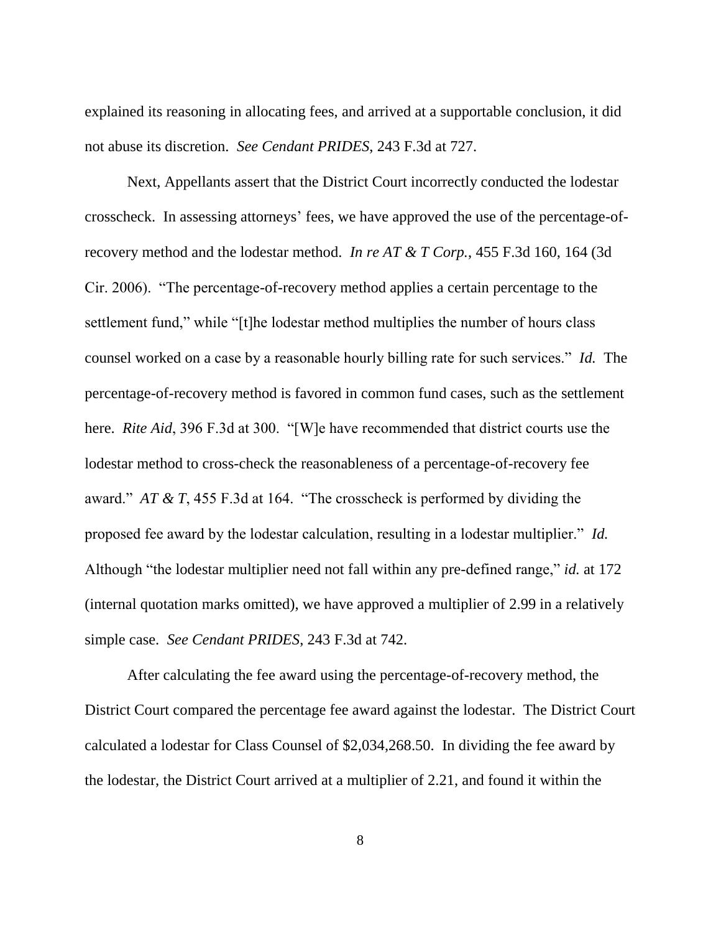explained its reasoning in allocating fees, and arrived at a supportable conclusion, it did not abuse its discretion. *See Cendant PRIDES*, 243 F.3d at 727.

Next, Appellants assert that the District Court incorrectly conducted the lodestar crosscheck. In assessing attorneys' fees, we have approved the use of the percentage-ofrecovery method and the lodestar method. *In re AT & T Corp.*, 455 F.3d 160, 164 (3d Cir. 2006). "The percentage-of-recovery method applies a certain percentage to the settlement fund," while "[t]he lodestar method multiplies the number of hours class counsel worked on a case by a reasonable hourly billing rate for such services." *Id.* The percentage-of-recovery method is favored in common fund cases, such as the settlement here. *Rite Aid*, 396 F.3d at 300. "[W]e have recommended that district courts use the lodestar method to cross-check the reasonableness of a percentage-of-recovery fee award." *AT & T*, 455 F.3d at 164. "The crosscheck is performed by dividing the proposed fee award by the lodestar calculation, resulting in a lodestar multiplier." *Id.* Although "the lodestar multiplier need not fall within any pre-defined range," *id.* at 172 (internal quotation marks omitted), we have approved a multiplier of 2.99 in a relatively simple case. *See Cendant PRIDES*, 243 F.3d at 742.

After calculating the fee award using the percentage-of-recovery method, the District Court compared the percentage fee award against the lodestar. The District Court calculated a lodestar for Class Counsel of \$2,034,268.50. In dividing the fee award by the lodestar, the District Court arrived at a multiplier of 2.21, and found it within the